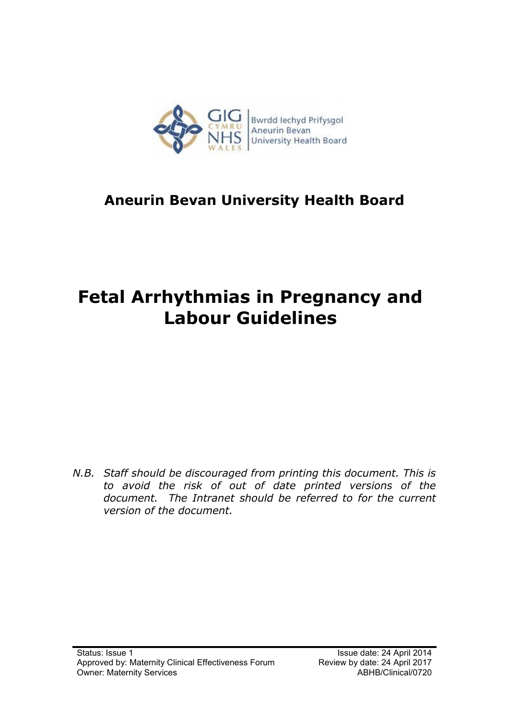

# **Aneurin Bevan University Health Board**

# **Fetal Arrhythmias in Pregnancy and Labour Guidelines**

*N.B. Staff should be discouraged from printing this document. This is to avoid the risk of out of date printed versions of the document. The Intranet should be referred to for the current version of the document.*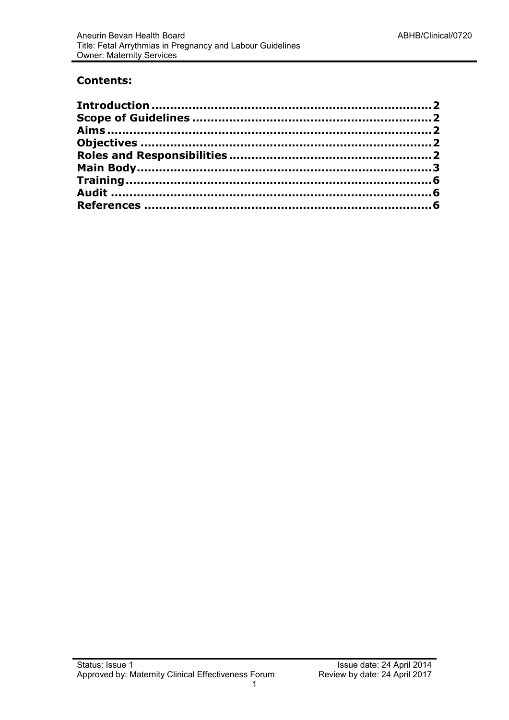#### **Contents:**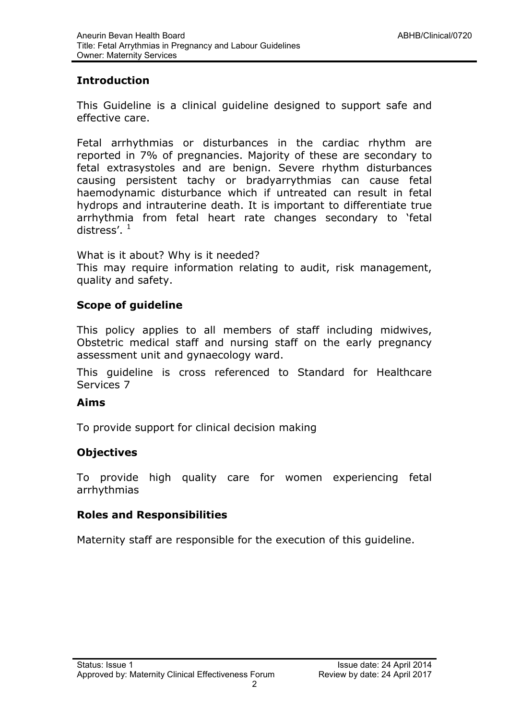## <span id="page-2-0"></span>**Introduction**

This Guideline is a clinical guideline designed to support safe and effective care.

Fetal arrhythmias or disturbances in the cardiac rhythm are reported in 7% of pregnancies. Majority of these are secondary to fetal extrasystoles and are benign. Severe rhythm disturbances causing persistent tachy or bradyarrythmias can cause fetal haemodynamic disturbance which if untreated can result in fetal hydrops and intrauterine death. It is important to differentiate true arrhythmia from fetal heart rate changes secondary to 'fetal distress'.  $1$ 

What is it about? Why is it needed? This may require information relating to audit, risk management, quality and safety.

## <span id="page-2-1"></span>**Scope of guideline**

This policy applies to all members of staff including midwives, Obstetric medical staff and nursing staff on the early pregnancy assessment unit and gynaecology ward.

This guideline is cross referenced to Standard for Healthcare Services 7

#### <span id="page-2-2"></span>**Aims**

To provide support for clinical decision making

#### <span id="page-2-3"></span>**Objectives**

To provide high quality care for women experiencing fetal arrhythmias

#### <span id="page-2-4"></span>**Roles and Responsibilities**

Maternity staff are responsible for the execution of this guideline.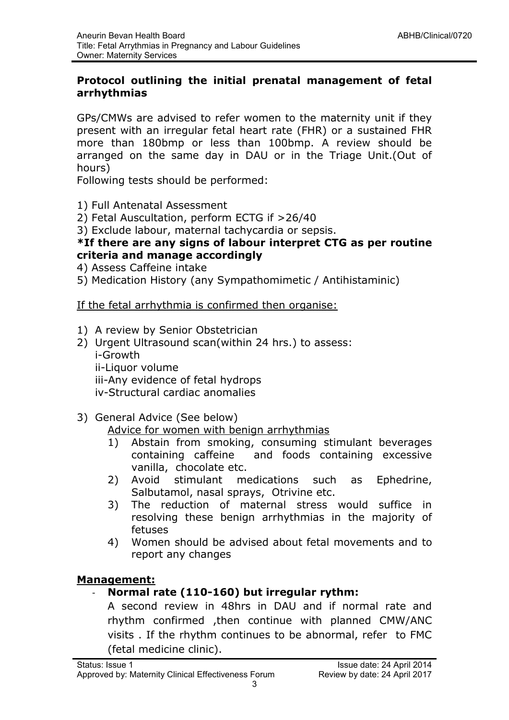#### <span id="page-3-0"></span>**Protocol outlining the initial prenatal management of fetal arrhythmias**

GPs/CMWs are advised to refer women to the maternity unit if they present with an irregular fetal heart rate (FHR) or a sustained FHR more than 180bmp or less than 100bmp. A review should be arranged on the same day in DAU or in the Triage Unit.(Out of hours)

Following tests should be performed:

- 1) Full Antenatal Assessment
- 2) Fetal Auscultation, perform ECTG if >26/40
- 3) Exclude labour, maternal tachycardia or sepsis.

#### **\*If there are any signs of labour interpret CTG as per routine criteria and manage accordingly**

- 4) Assess Caffeine intake
- 5) Medication History (any Sympathomimetic / Antihistaminic)

If the fetal arrhythmia is confirmed then organise:

- 1) A review by Senior Obstetrician
- 2) Urgent Ultrasound scan(within 24 hrs.) to assess: i-Growth ii-Liquor volume iii-Any evidence of fetal hydrops iv-Structural cardiac anomalies
- 3) General Advice (See below)

#### Advice for women with benign arrhythmias

- 1) Abstain from smoking, consuming stimulant beverages containing caffeine and foods containing excessive vanilla, chocolate etc.
- 2) Avoid stimulant medications such as Ephedrine, Salbutamol, nasal sprays, Otrivine etc.
- 3) The reduction of maternal stress would suffice in resolving these benign arrhythmias in the majority of fetuses
- 4) Women should be advised about fetal movements and to report any changes

#### **Management:**

#### - **Normal rate (110-160) but irregular rythm:**

A second review in 48hrs in DAU and if normal rate and rhythm confirmed ,then continue with planned CMW/ANC visits . If the rhythm continues to be abnormal, refer to FMC (fetal medicine clinic).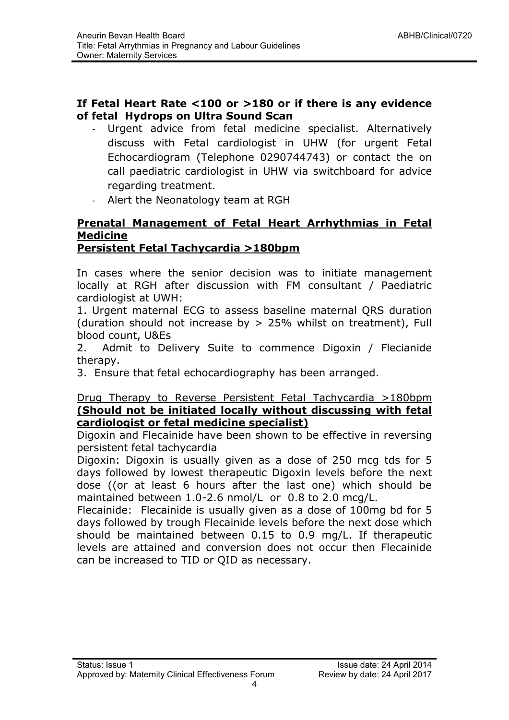#### **If Fetal Heart Rate <100 or >180 or if there is any evidence of fetal Hydrops on Ultra Sound Scan**

- Urgent advice from fetal medicine specialist. Alternatively discuss with Fetal cardiologist in UHW (for urgent Fetal Echocardiogram (Telephone 0290744743) or contact the on call paediatric cardiologist in UHW via switchboard for advice regarding treatment.
- Alert the Neonatology team at RGH

# **Prenatal Management of Fetal Heart Arrhythmias in Fetal Medicine**

# **Persistent Fetal Tachycardia >180bpm**

In cases where the senior decision was to initiate management locally at RGH after discussion with FM consultant / Paediatric cardiologist at UWH:

1. Urgent maternal ECG to assess baseline maternal QRS duration (duration should not increase by > 25% whilst on treatment), Full blood count, U&Es

2. Admit to Delivery Suite to commence Digoxin / Flecianide therapy.

3. Ensure that fetal echocardiography has been arranged.

#### Drug Therapy to Reverse Persistent Fetal Tachycardia >180bpm **(Should not be initiated locally without discussing with fetal cardiologist or fetal medicine specialist)**

Digoxin and Flecainide have been shown to be effective in reversing persistent fetal tachycardia

Digoxin: Digoxin is usually given as a dose of 250 mcg tds for 5 days followed by lowest therapeutic Digoxin levels before the next dose ((or at least 6 hours after the last one) which should be maintained between 1.0-2.6 nmol/L or 0.8 to 2.0 mcg/L.

Flecainide: Flecainide is usually given as a dose of 100mg bd for 5 days followed by trough Flecainide levels before the next dose which should be maintained between 0.15 to 0.9 mg/L. If therapeutic levels are attained and conversion does not occur then Flecainide can be increased to TID or QID as necessary.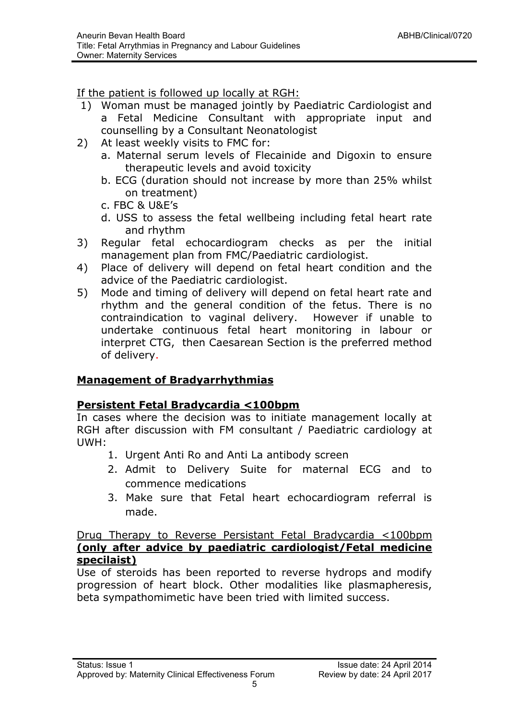If the patient is followed up locally at RGH:

- 1) Woman must be managed jointly by Paediatric Cardiologist and a Fetal Medicine Consultant with appropriate input and counselling by a Consultant Neonatologist
- 2) At least weekly visits to FMC for:
	- a. Maternal serum levels of Flecainide and Digoxin to ensure therapeutic levels and avoid toxicity
	- b. ECG (duration should not increase by more than 25% whilst on treatment)
	- c. FBC & U&E's
	- d. USS to assess the fetal wellbeing including fetal heart rate and rhythm
- 3) Regular fetal echocardiogram checks as per the initial management plan from FMC/Paediatric cardiologist.
- 4) Place of delivery will depend on fetal heart condition and the advice of the Paediatric cardiologist.
- 5) Mode and timing of delivery will depend on fetal heart rate and rhythm and the general condition of the fetus. There is no contraindication to vaginal delivery. However if unable to undertake continuous fetal heart monitoring in labour or interpret CTG, then Caesarean Section is the preferred method of delivery.

# **Management of Bradyarrhythmias**

#### **Persistent Fetal Bradycardia <100bpm**

In cases where the decision was to initiate management locally at RGH after discussion with FM consultant / Paediatric cardiology at UWH:

- 1. Urgent Anti Ro and Anti La antibody screen
- 2. Admit to Delivery Suite for maternal ECG and to commence medications
- 3. Make sure that Fetal heart echocardiogram referral is made.

#### Drug Therapy to Reverse Persistant Fetal Bradycardia <100bpm **(only after advice by paediatric cardiologist/Fetal medicine specilaist)**

Use of steroids has been reported to reverse hydrops and modify progression of heart block. Other modalities like plasmapheresis, beta sympathomimetic have been tried with limited success.